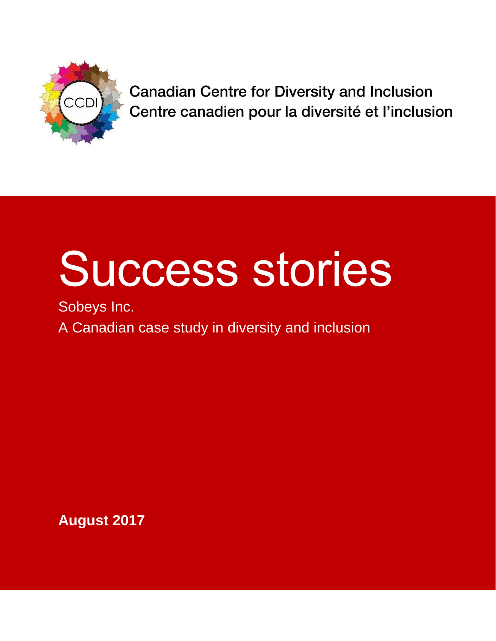

**Canadian Centre for Diversity and Inclusion** Centre canadien pour la diversité et l'inclusion

# Success stories

Sobeys Inc. A Canadian case study in diversity and inclusion

**August 2017**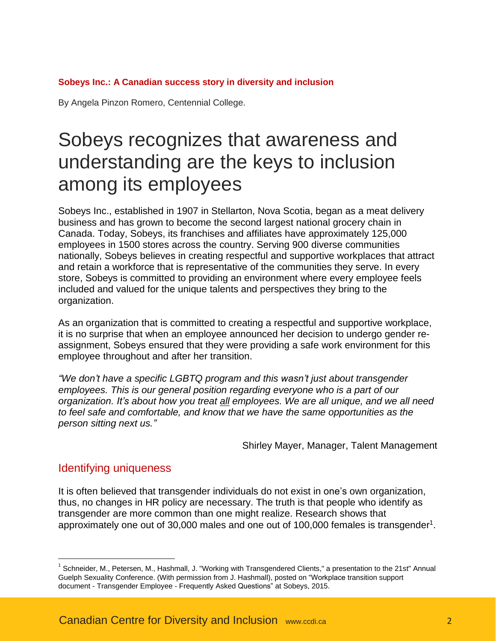### **Sobeys Inc.: A Canadian success story in diversity and inclusion**

By Angela Pinzon Romero, Centennial College.

# Sobeys recognizes that awareness and understanding are the keys to inclusion among its employees

Sobeys Inc., established in 1907 in Stellarton, Nova Scotia, began as a meat delivery business and has grown to become the second largest national grocery chain in Canada. Today, Sobeys, its franchises and affiliates have approximately 125,000 employees in 1500 stores across the country. Serving 900 diverse communities nationally, Sobeys believes in creating respectful and supportive workplaces that attract and retain a workforce that is representative of the communities they serve. In every store, Sobeys is committed to providing an environment where every employee feels included and valued for the unique talents and perspectives they bring to the organization.

As an organization that is committed to creating a respectful and supportive workplace, it is no surprise that when an employee announced her decision to undergo gender reassignment, Sobeys ensured that they were providing a safe work environment for this employee throughout and after her transition.

*"We don't have a specific LGBTQ program and this wasn't just about transgender employees. This is our general position regarding everyone who is a part of our organization. It's about how you treat all employees. We are all unique, and we all need to feel safe and comfortable, and know that we have the same opportunities as the person sitting next us."*

Shirley Mayer, Manager, Talent Management

# Identifying uniqueness

 $\overline{a}$ 

It is often believed that transgender individuals do not exist in one's own organization, thus, no changes in HR policy are necessary. The truth is that people who identify as transgender are more common than one might realize. Research shows that approximately one out of 30,000 males and one out of 100,000 females is transgender<sup>1</sup>.

<sup>&</sup>lt;sup>1</sup> Schneider, M., Petersen, M., Hashmall, J. "Working with Transgendered Clients," a presentation to the 21st" Annual Guelph Sexuality Conference. (With permission from J. Hashmall), posted on "Workplace transition support document - Transgender Employee - Frequently Asked Questions" at Sobeys, 2015.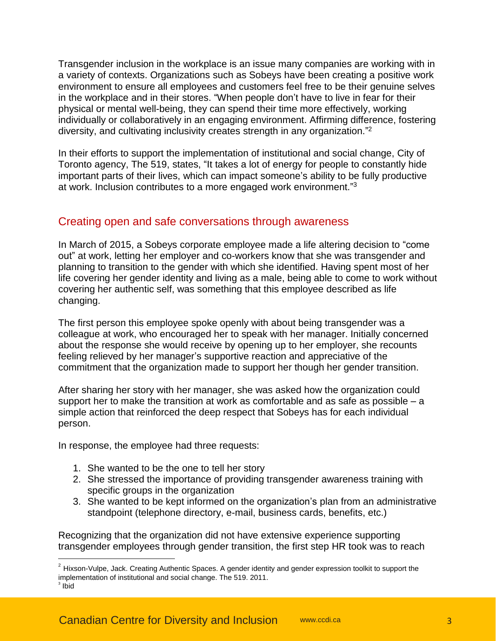Transgender inclusion in the workplace is an issue many companies are working with in a variety of contexts. Organizations such as Sobeys have been creating a positive work environment to ensure all employees and customers feel free to be their genuine selves in the workplace and in their stores. "When people don't have to live in fear for their physical or mental well-being, they can spend their time more effectively, working individually or collaboratively in an engaging environment. Affirming difference, fostering diversity, and cultivating inclusivity creates strength in any organization."<sup>2</sup>

In their efforts to support the implementation of institutional and social change, City of Toronto agency, The 519, states, "It takes a lot of energy for people to constantly hide important parts of their lives, which can impact someone's ability to be fully productive at work. Inclusion contributes to a more engaged work environment."<sup>3</sup>

# Creating open and safe conversations through awareness

In March of 2015, a Sobeys corporate employee made a life altering decision to "come out" at work, letting her employer and co-workers know that she was transgender and planning to transition to the gender with which she identified. Having spent most of her life covering her gender identity and living as a male, being able to come to work without covering her authentic self, was something that this employee described as life changing.

The first person this employee spoke openly with about being transgender was a colleague at work, who encouraged her to speak with her manager. Initially concerned about the response she would receive by opening up to her employer, she recounts feeling relieved by her manager's supportive reaction and appreciative of the commitment that the organization made to support her though her gender transition.

After sharing her story with her manager, she was asked how the organization could support her to make the transition at work as comfortable and as safe as possible – a simple action that reinforced the deep respect that Sobeys has for each individual person.

In response, the employee had three requests:

 $\overline{a}$ 

- 1. She wanted to be the one to tell her story
- 2. She stressed the importance of providing transgender awareness training with specific groups in the organization
- 3. She wanted to be kept informed on the organization's plan from an administrative standpoint (telephone directory, e-mail, business cards, benefits, etc.)

Recognizing that the organization did not have extensive experience supporting transgender employees through gender transition, the first step HR took was to reach

 $^{2}$  Hixson-Vulpe, Jack. Creating Authentic Spaces. A gender identity and gender expression toolkit to support the implementation of institutional and social change. The 519. 2011. 3 Ibid

Canadian Centre for Diversity and Inclusion [www.ccdi.ca](http://www.ccdi.ca/) 33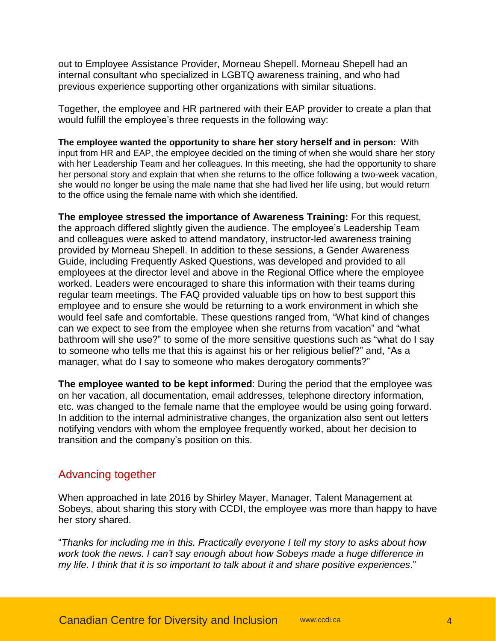out to Employee Assistance Provider, Morneau Shepell. Morneau Shepell had an internal consultant who specialized in LGBTQ awareness training, and who had previous experience supporting other organizations with similar situations.

Together, the employee and HR partnered with their EAP provider to create a plan that would fulfill the employee's three requests in the following way:

**The employee wanted the opportunity to share her story herself and in person:** With input from HR and EAP, the employee decided on the timing of when she would share her story with her Leadership Team and her colleagues. In this meeting, she had the opportunity to share her personal story and explain that when she returns to the office following a two-week vacation, she would no longer be using the male name that she had lived her life using, but would return to the office using the female name with which she identified.

**The employee stressed the importance of Awareness Training:** For this request, the approach differed slightly given the audience. The employee's Leadership Team and colleagues were asked to attend mandatory, instructor-led awareness training provided by Morneau Shepell. In addition to these sessions, a Gender Awareness Guide, including Frequently Asked Questions, was developed and provided to all employees at the director level and above in the Regional Office where the employee worked. Leaders were encouraged to share this information with their teams during regular team meetings. The FAQ provided valuable tips on how to best support this employee and to ensure she would be returning to a work environment in which she would feel safe and comfortable. These questions ranged from, "What kind of changes can we expect to see from the employee when she returns from vacation" and "what bathroom will she use?" to some of the more sensitive questions such as "what do I say to someone who tells me that this is against his or her religious belief?" and, "As a manager, what do I say to someone who makes derogatory comments?"

**The employee wanted to be kept informed**: During the period that the employee was on her vacation, all documentation, email addresses, telephone directory information, etc. was changed to the female name that the employee would be using going forward. In addition to the internal administrative changes, the organization also sent out letters notifying vendors with whom the employee frequently worked, about her decision to transition and the company's position on this.

## Advancing together

When approached in late 2016 by Shirley Mayer, Manager, Talent Management at Sobeys, about sharing this story with CCDI, the employee was more than happy to have her story shared.

"*Thanks for including me in this. Practically everyone I tell my story to asks about how work took the news. I can't say enough about how Sobeys made a huge difference in my life. I think that it is so important to talk about it and share positive experiences*."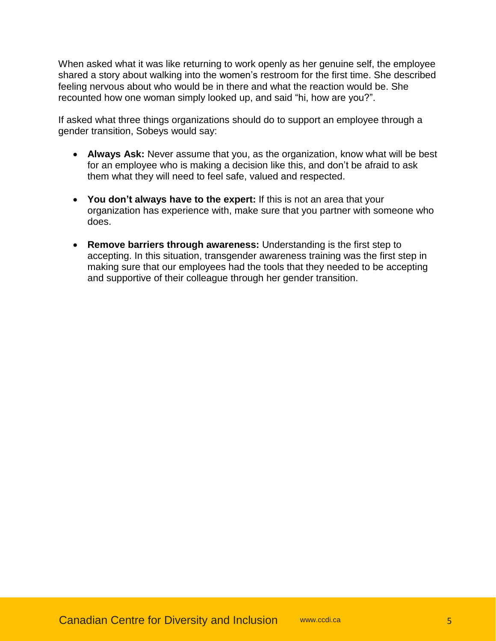When asked what it was like returning to work openly as her genuine self, the employee shared a story about walking into the women's restroom for the first time. She described feeling nervous about who would be in there and what the reaction would be. She recounted how one woman simply looked up, and said "hi, how are you?".

If asked what three things organizations should do to support an employee through a gender transition, Sobeys would say:

- **Always Ask:** Never assume that you, as the organization, know what will be best for an employee who is making a decision like this, and don't be afraid to ask them what they will need to feel safe, valued and respected.
- **You don't always have to the expert:** If this is not an area that your organization has experience with, make sure that you partner with someone who does.
- **Remove barriers through awareness:** Understanding is the first step to accepting. In this situation, transgender awareness training was the first step in making sure that our employees had the tools that they needed to be accepting and supportive of their colleague through her gender transition.